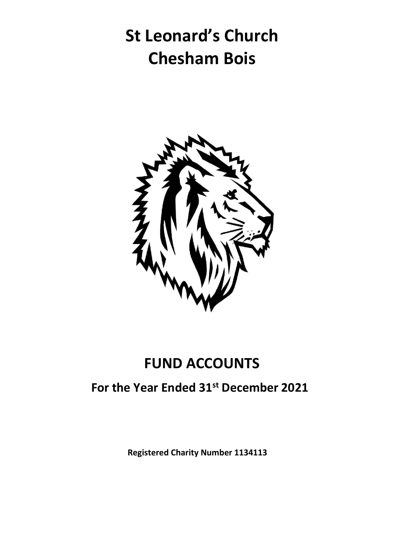# **St Leonard's Church Chesham Bois**



### **FUND ACCOUNTS**

#### **For the Year Ended 31st December 2021**

**Registered Charity Number 1134113**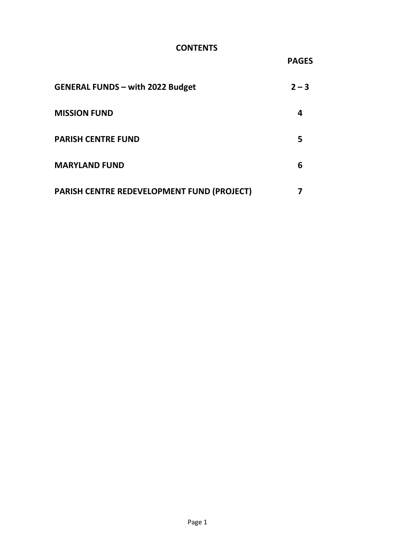#### **CONTENTS**

**PAGES**

| <b>GENERAL FUNDS - with 2022 Budget</b>    | $2 - 3$ |
|--------------------------------------------|---------|
| <b>MISSION FUND</b>                        |         |
| <b>PARISH CENTRE FUND</b>                  | 5       |
| <b>MARYLAND FUND</b>                       | 6       |
| PARISH CENTRE REDEVELOPMENT FUND (PROJECT) |         |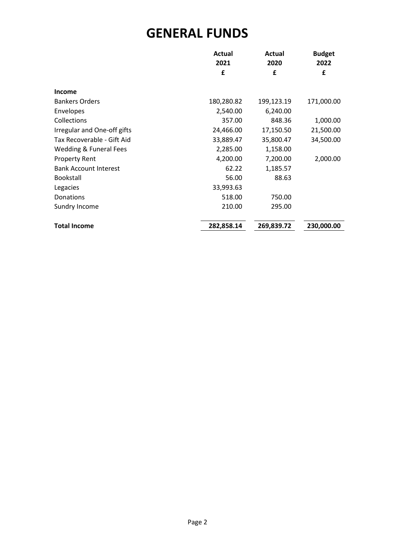#### **GENERAL FUNDS**

|                              | Actual<br>2021 | Actual<br>2020 | <b>Budget</b><br>2022 |
|------------------------------|----------------|----------------|-----------------------|
|                              | £              | £              | £                     |
|                              |                |                |                       |
| <b>Income</b>                |                |                |                       |
| <b>Bankers Orders</b>        | 180,280.82     | 199,123.19     | 171,000.00            |
| Envelopes                    | 2,540.00       | 6,240.00       |                       |
| Collections                  | 357.00         | 848.36         | 1,000.00              |
| Irregular and One-off gifts  | 24,466.00      | 17,150.50      | 21,500.00             |
| Tax Recoverable - Gift Aid   | 33,889.47      | 35,800.47      | 34,500.00             |
| Wedding & Funeral Fees       | 2,285.00       | 1,158.00       |                       |
| <b>Property Rent</b>         | 4,200.00       | 7,200.00       | 2,000.00              |
| <b>Bank Account Interest</b> | 62.22          | 1,185.57       |                       |
| <b>Bookstall</b>             | 56.00          | 88.63          |                       |
| Legacies                     | 33,993.63      |                |                       |
| Donations                    | 518.00         | 750.00         |                       |
| Sundry Income                | 210.00         | 295.00         |                       |
|                              |                |                |                       |
| <b>Total Income</b>          | 282,858.14     | 269,839.72     | 230,000.00            |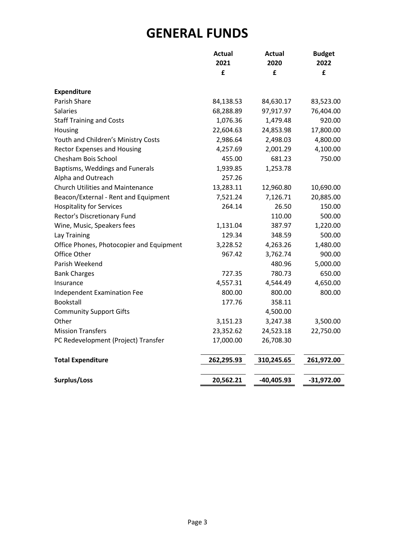#### **GENERAL FUNDS**

|                                          | <b>Actual</b><br>2021 | Actual<br>2020 | <b>Budget</b><br>2022 |
|------------------------------------------|-----------------------|----------------|-----------------------|
|                                          | £                     | £              | £                     |
|                                          |                       |                |                       |
| <b>Expenditure</b>                       |                       |                |                       |
| Parish Share                             | 84,138.53             | 84,630.17      | 83,523.00             |
| <b>Salaries</b>                          | 68,288.89             | 97,917.97      | 76,404.00             |
| <b>Staff Training and Costs</b>          | 1,076.36              | 1,479.48       | 920.00                |
| Housing                                  | 22,604.63             | 24,853.98      | 17,800.00             |
| Youth and Children's Ministry Costs      | 2,986.64              | 2,498.03       | 4,800.00              |
| <b>Rector Expenses and Housing</b>       | 4,257.69              | 2,001.29       | 4,100.00              |
| Chesham Bois School                      | 455.00                | 681.23         | 750.00                |
| Baptisms, Weddings and Funerals          | 1,939.85              | 1,253.78       |                       |
| Alpha and Outreach                       | 257.26                |                |                       |
| <b>Church Utilities and Maintenance</b>  | 13,283.11             | 12,960.80      | 10,690.00             |
| Beacon/External - Rent and Equipment     | 7,521.24              | 7,126.71       | 20,885.00             |
| <b>Hospitality for Services</b>          | 264.14                | 26.50          | 150.00                |
| Rector's Discretionary Fund              |                       | 110.00         | 500.00                |
| Wine, Music, Speakers fees               | 1,131.04              | 387.97         | 1,220.00              |
| Lay Training                             | 129.34                | 348.59         | 500.00                |
| Office Phones, Photocopier and Equipment | 3,228.52              | 4,263.26       | 1,480.00              |
| Office Other                             | 967.42                | 3,762.74       | 900.00                |
| Parish Weekend                           |                       | 480.96         | 5,000.00              |
| <b>Bank Charges</b>                      | 727.35                | 780.73         | 650.00                |
| Insurance                                | 4,557.31              | 4,544.49       | 4,650.00              |
| Independent Examination Fee              | 800.00                | 800.00         | 800.00                |
| Bookstall                                | 177.76                | 358.11         |                       |
| <b>Community Support Gifts</b>           |                       | 4,500.00       |                       |
| Other                                    | 3,151.23              | 3,247.38       | 3,500.00              |
| <b>Mission Transfers</b>                 | 23,352.62             | 24,523.18      | 22,750.00             |
| PC Redevelopment (Project) Transfer      | 17,000.00             | 26,708.30      |                       |
| <b>Total Expenditure</b>                 | 262,295.93            | 310,245.65     | 261,972.00            |
| Surplus/Loss                             | 20,562.21             | $-40,405.93$   | $-31,972.00$          |
|                                          |                       |                |                       |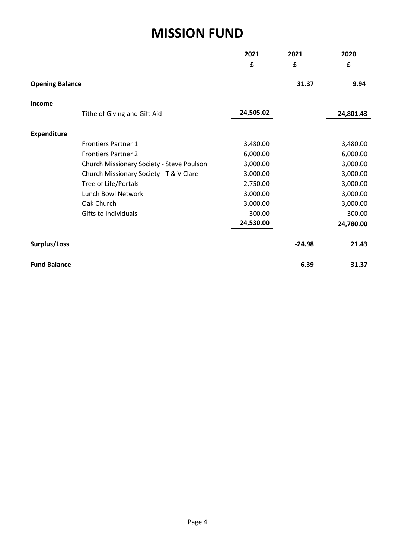#### **MISSION FUND**

|                        |                                           | 2021      | 2021     | 2020      |
|------------------------|-------------------------------------------|-----------|----------|-----------|
|                        |                                           | £         | £        | £         |
| <b>Opening Balance</b> |                                           |           | 31.37    | 9.94      |
| Income                 |                                           |           |          |           |
|                        | Tithe of Giving and Gift Aid              | 24,505.02 |          | 24,801.43 |
| <b>Expenditure</b>     |                                           |           |          |           |
|                        | <b>Frontiers Partner 1</b>                | 3,480.00  |          | 3,480.00  |
|                        | <b>Frontiers Partner 2</b>                | 6,000.00  |          | 6,000.00  |
|                        | Church Missionary Society - Steve Poulson | 3,000.00  |          | 3,000.00  |
|                        | Church Missionary Society - T & V Clare   | 3,000.00  |          | 3,000.00  |
|                        | Tree of Life/Portals                      | 2,750.00  |          | 3,000.00  |
|                        | Lunch Bowl Network                        | 3,000.00  |          | 3,000.00  |
|                        | Oak Church                                | 3,000.00  |          | 3,000.00  |
|                        | Gifts to Individuals                      | 300.00    |          | 300.00    |
|                        |                                           | 24,530.00 |          | 24,780.00 |
| Surplus/Loss           |                                           |           | $-24.98$ | 21.43     |
| <b>Fund Balance</b>    |                                           |           | 6.39     | 31.37     |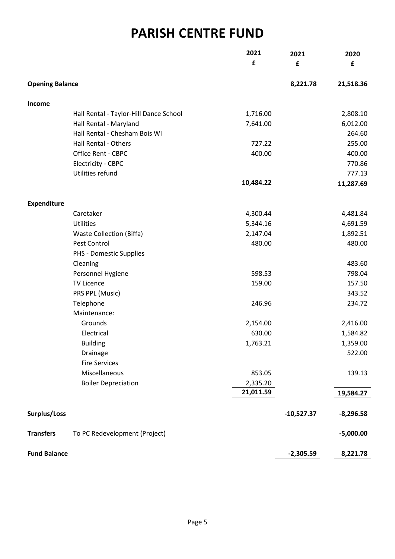#### **PARISH CENTRE FUND**

|                        |                                        | 2021      | 2021         | 2020        |
|------------------------|----------------------------------------|-----------|--------------|-------------|
|                        |                                        | £         | £            | £           |
| <b>Opening Balance</b> |                                        |           | 8,221.78     | 21,518.36   |
| Income                 |                                        |           |              |             |
|                        | Hall Rental - Taylor-Hill Dance School | 1,716.00  |              | 2,808.10    |
|                        | Hall Rental - Maryland                 | 7,641.00  |              | 6,012.00    |
|                        | Hall Rental - Chesham Bois WI          |           |              | 264.60      |
|                        | Hall Rental - Others                   | 727.22    |              | 255.00      |
|                        | Office Rent - CBPC                     | 400.00    |              | 400.00      |
|                        | Electricity - CBPC                     |           |              | 770.86      |
|                        | Utilities refund                       |           |              | 777.13      |
|                        |                                        | 10,484.22 |              | 11,287.69   |
| <b>Expenditure</b>     |                                        |           |              |             |
|                        | Caretaker                              | 4,300.44  |              | 4,481.84    |
|                        | Utilities                              | 5,344.16  |              | 4,691.59    |
|                        | <b>Waste Collection (Biffa)</b>        | 2,147.04  |              | 1,892.51    |
|                        | Pest Control                           | 480.00    |              | 480.00      |
|                        | PHS - Domestic Supplies                |           |              |             |
|                        | Cleaning                               |           |              | 483.60      |
|                        | Personnel Hygiene                      | 598.53    |              | 798.04      |
|                        | TV Licence                             | 159.00    |              | 157.50      |
|                        | PRS PPL (Music)                        |           |              | 343.52      |
|                        | Telephone                              | 246.96    |              | 234.72      |
|                        | Maintenance:                           |           |              |             |
|                        | Grounds                                | 2,154.00  |              | 2,416.00    |
|                        | Electrical                             | 630.00    |              | 1,584.82    |
|                        | <b>Building</b>                        | 1,763.21  |              | 1,359.00    |
|                        | Drainage                               |           |              | 522.00      |
|                        | <b>Fire Services</b>                   |           |              |             |
|                        | Miscellaneous                          | 853.05    |              | 139.13      |
|                        | <b>Boiler Depreciation</b>             | 2,335.20  |              |             |
|                        |                                        | 21,011.59 |              | 19,584.27   |
| Surplus/Loss           |                                        |           | $-10,527.37$ | $-8,296.58$ |
| <b>Transfers</b>       | To PC Redevelopment (Project)          |           |              | $-5,000.00$ |
| <b>Fund Balance</b>    |                                        |           | $-2,305.59$  | 8,221.78    |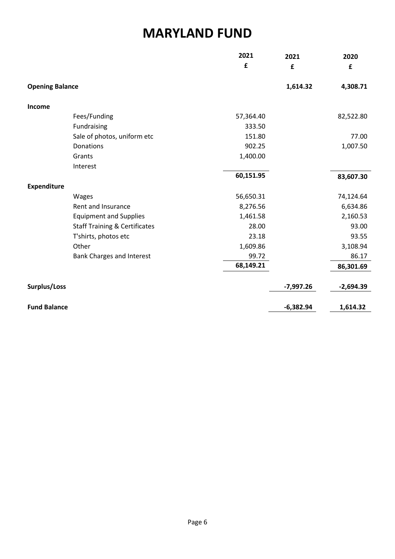#### **MARYLAND FUND**

|                        |                                          | 2021      | 2021        | 2020        |
|------------------------|------------------------------------------|-----------|-------------|-------------|
|                        |                                          | £         | £           | £           |
|                        |                                          |           |             |             |
| <b>Opening Balance</b> |                                          |           | 1,614.32    | 4,308.71    |
| Income                 |                                          |           |             |             |
|                        | Fees/Funding                             | 57,364.40 |             | 82,522.80   |
|                        | Fundraising                              | 333.50    |             |             |
|                        | Sale of photos, uniform etc              | 151.80    |             | 77.00       |
|                        | Donations                                | 902.25    |             | 1,007.50    |
|                        | Grants                                   | 1,400.00  |             |             |
|                        | Interest                                 |           |             |             |
|                        |                                          | 60,151.95 |             | 83,607.30   |
| <b>Expenditure</b>     |                                          |           |             |             |
|                        | Wages                                    | 56,650.31 |             | 74,124.64   |
|                        | Rent and Insurance                       | 8,276.56  |             | 6,634.86    |
|                        | <b>Equipment and Supplies</b>            | 1,461.58  |             | 2,160.53    |
|                        | <b>Staff Training &amp; Certificates</b> | 28.00     |             | 93.00       |
|                        | T'shirts, photos etc                     | 23.18     |             | 93.55       |
|                        | Other                                    | 1,609.86  |             | 3,108.94    |
|                        | <b>Bank Charges and Interest</b>         | 99.72     |             | 86.17       |
|                        |                                          | 68,149.21 |             | 86,301.69   |
|                        |                                          |           |             |             |
| Surplus/Loss           |                                          |           | $-7,997.26$ | $-2,694.39$ |
|                        |                                          |           |             |             |
| <b>Fund Balance</b>    |                                          |           | $-6,382.94$ | 1,614.32    |